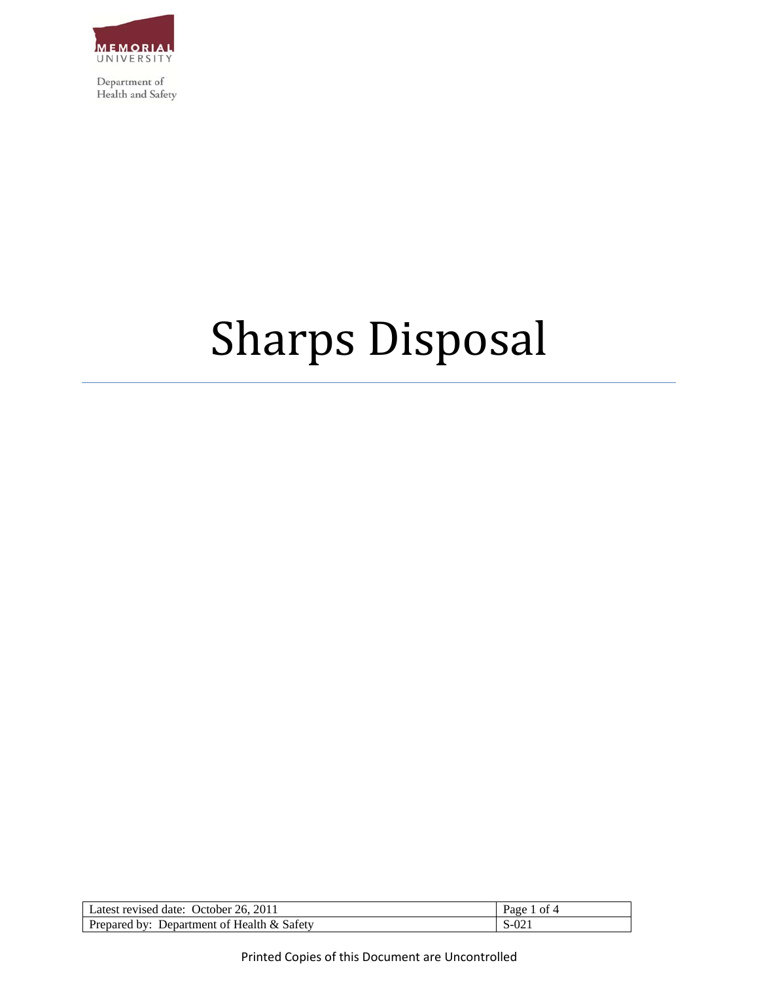

Department of Health and Safety

# Sharps Disposal

| Latest revised date: October 26, 2011      | . of 4<br>$P_{\text{age}}$ |
|--------------------------------------------|----------------------------|
| Prepared by: Department of Health & Safety | $S-021$                    |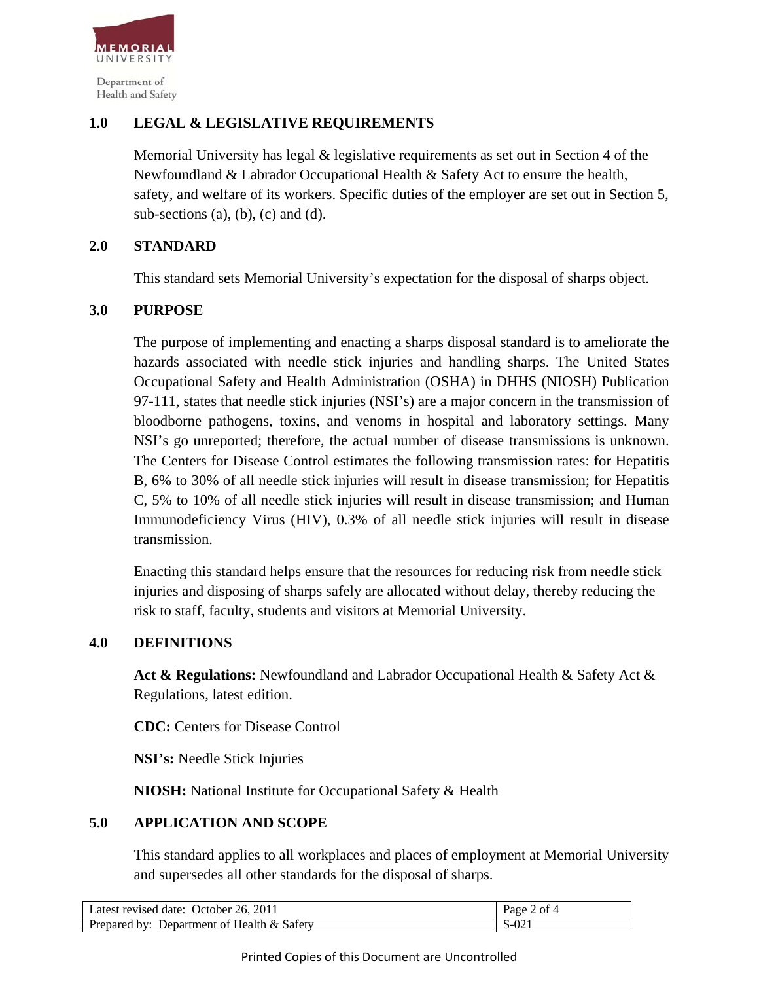

## **1.0 LEGAL & LEGISLATIVE REQUIREMENTS**

Memorial University has legal & legislative requirements as set out in Section 4 of the Newfoundland & Labrador Occupational Health & Safety Act to ensure the health, safety, and welfare of its workers. Specific duties of the employer are set out in Section 5, sub-sections  $(a)$ ,  $(b)$ ,  $(c)$  and  $(d)$ .

## **2.0 STANDARD**

This standard sets Memorial University's expectation for the disposal of sharps object.

## **3.0 PURPOSE**

The purpose of implementing and enacting a sharps disposal standard is to ameliorate the hazards associated with needle stick injuries and handling sharps. The United States Occupational Safety and Health Administration (OSHA) in DHHS (NIOSH) Publication 97-111, states that needle stick injuries (NSI's) are a major concern in the transmission of bloodborne pathogens, toxins, and venoms in hospital and laboratory settings. Many NSI's go unreported; therefore, the actual number of disease transmissions is unknown. The Centers for Disease Control estimates the following transmission rates: for Hepatitis B, 6% to 30% of all needle stick injuries will result in disease transmission; for Hepatitis C, 5% to 10% of all needle stick injuries will result in disease transmission; and Human Immunodeficiency Virus (HIV), 0.3% of all needle stick injuries will result in disease transmission.

 Enacting this standard helps ensure that the resources for reducing risk from needle stick injuries and disposing of sharps safely are allocated without delay, thereby reducing the risk to staff, faculty, students and visitors at Memorial University.

#### **4.0 DEFINITIONS**

 **Act & Regulations:** Newfoundland and Labrador Occupational Health & Safety Act & Regulations, latest edition.

**CDC:** Centers for Disease Control

**NSI's:** Needle Stick Injuries

**NIOSH:** National Institute for Occupational Safety & Health

#### **5.0 APPLICATION AND SCOPE**

This standard applies to all workplaces and places of employment at Memorial University and supersedes all other standards for the disposal of sharps.

| Latest revised date: October 26, 2011      | Page 2 of 4 |
|--------------------------------------------|-------------|
| Prepared by: Department of Health & Safety | S-021       |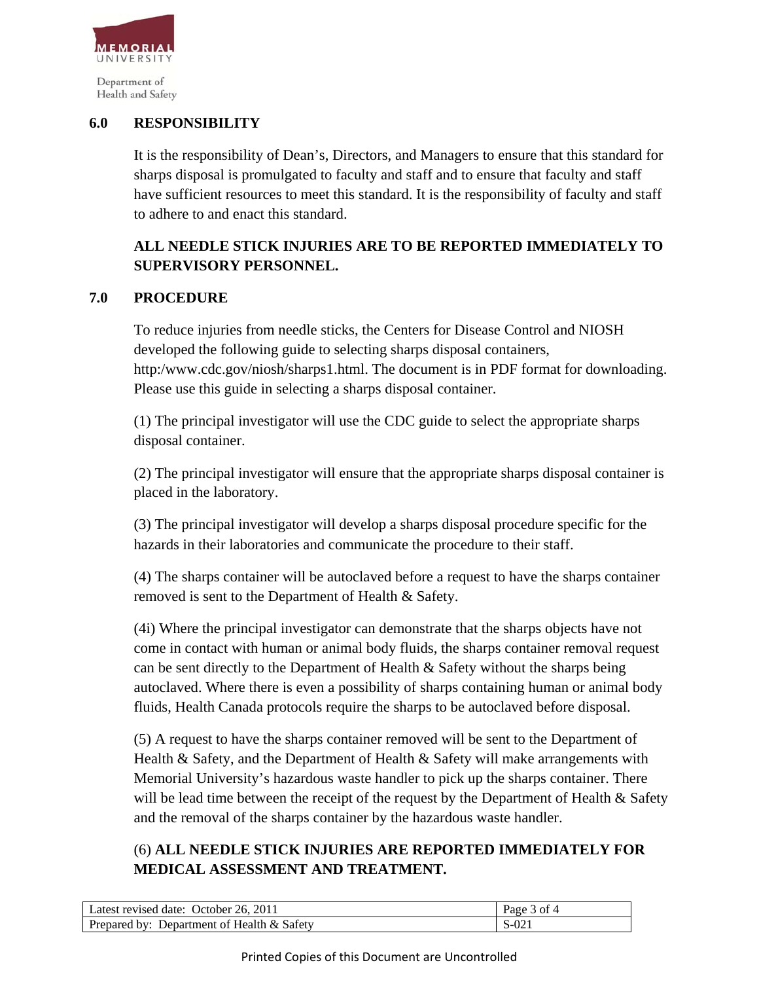

Health and Safety

## **6.0 RESPONSIBILITY**

It is the responsibility of Dean's, Directors, and Managers to ensure that this standard for sharps disposal is promulgated to faculty and staff and to ensure that faculty and staff have sufficient resources to meet this standard. It is the responsibility of faculty and staff to adhere to and enact this standard.

# **ALL NEEDLE STICK INJURIES ARE TO BE REPORTED IMMEDIATELY TO SUPERVISORY PERSONNEL.**

## **7.0 PROCEDURE**

To reduce injuries from needle sticks, the Centers for Disease Control and NIOSH developed the following guide to selecting sharps disposal containers, http:/www.cdc.gov/niosh/sharps1.html. The document is in PDF format for downloading. Please use this guide in selecting a sharps disposal container.

 (1) The principal investigator will use the CDC guide to select the appropriate sharps disposal container.

 (2) The principal investigator will ensure that the appropriate sharps disposal container is placed in the laboratory.

 (3) The principal investigator will develop a sharps disposal procedure specific for the hazards in their laboratories and communicate the procedure to their staff.

 (4) The sharps container will be autoclaved before a request to have the sharps container removed is sent to the Department of Health & Safety.

 (4i) Where the principal investigator can demonstrate that the sharps objects have not come in contact with human or animal body fluids, the sharps container removal request can be sent directly to the Department of Health  $&$  Safety without the sharps being autoclaved. Where there is even a possibility of sharps containing human or animal body fluids, Health Canada protocols require the sharps to be autoclaved before disposal.

 (5) A request to have the sharps container removed will be sent to the Department of Health & Safety, and the Department of Health & Safety will make arrangements with Memorial University's hazardous waste handler to pick up the sharps container. There will be lead time between the receipt of the request by the Department of Health & Safety and the removal of the sharps container by the hazardous waste handler.

# (6) **ALL NEEDLE STICK INJURIES ARE REPORTED IMMEDIATELY FOR MEDICAL ASSESSMENT AND TREATMENT.**

| Latest revised date: October 26, 2011      | Page 3 of 4 |
|--------------------------------------------|-------------|
| Prepared by: Department of Health & Safety | S-021       |